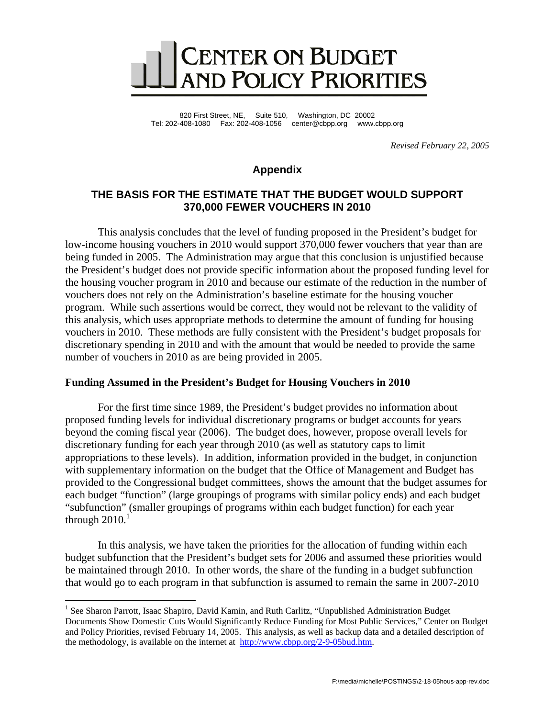

820 First Street, NE, Suite 510, Washington, DC 20002 Tel: 202-408-1080 Fax: 202-408-1056 center@cbpp.org www.cbpp.org

*Revised February 22, 2005* 

## **Appendix**

## **THE BASIS FOR THE ESTIMATE THAT THE BUDGET WOULD SUPPORT 370,000 FEWER VOUCHERS IN 2010**

This analysis concludes that the level of funding proposed in the President's budget for low-income housing vouchers in 2010 would support 370,000 fewer vouchers that year than are being funded in 2005. The Administration may argue that this conclusion is unjustified because the President's budget does not provide specific information about the proposed funding level for the housing voucher program in 2010 and because our estimate of the reduction in the number of vouchers does not rely on the Administration's baseline estimate for the housing voucher program. While such assertions would be correct, they would not be relevant to the validity of this analysis, which uses appropriate methods to determine the amount of funding for housing vouchers in 2010. These methods are fully consistent with the President's budget proposals for discretionary spending in 2010 and with the amount that would be needed to provide the same number of vouchers in 2010 as are being provided in 2005.

## **Funding Assumed in the President's Budget for Housing Vouchers in 2010**

 $\overline{a}$ 

For the first time since 1989, the President's budget provides no information about proposed funding levels for individual discretionary programs or budget accounts for years beyond the coming fiscal year (2006). The budget does, however, propose overall levels for discretionary funding for each year through 2010 (as well as statutory caps to limit appropriations to these levels). In addition, information provided in the budget, in conjunction with supplementary information on the budget that the Office of Management and Budget has provided to the Congressional budget committees, shows the amount that the budget assumes for each budget "function" (large groupings of programs with similar policy ends) and each budget "subfunction" (smaller groupings of programs within each budget function) for each year through  $2010<sup>1</sup>$ 

In this analysis, we have taken the priorities for the allocation of funding within each budget subfunction that the President's budget sets for 2006 and assumed these priorities would be maintained through 2010. In other words, the share of the funding in a budget subfunction that would go to each program in that subfunction is assumed to remain the same in 2007-2010

<sup>&</sup>lt;sup>1</sup> See Sharon Parrott, Isaac Shapiro, David Kamin, and Ruth Carlitz, "Unpublished Administration Budget Documents Show Domestic Cuts Would Significantly Reduce Funding for Most Public Services," Center on Budget and Policy Priorities, revised February 14, 2005. This analysis, as well as backup data and a detailed description of the methodology, is available on the internet at [http://www.cbpp.org/2-9-05bud.htm.](http://www.cbpp.org/2-9-05bud.htm)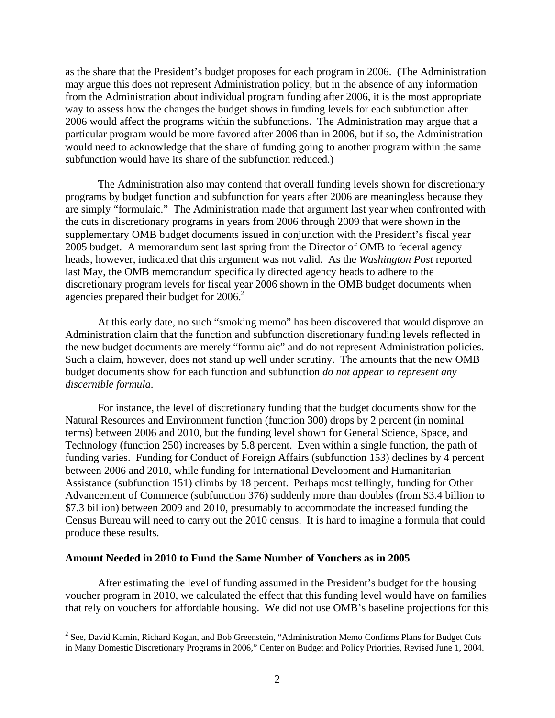as the share that the President's budget proposes for each program in 2006. (The Administration may argue this does not represent Administration policy, but in the absence of any information from the Administration about individual program funding after 2006, it is the most appropriate way to assess how the changes the budget shows in funding levels for each subfunction after 2006 would affect the programs within the subfunctions. The Administration may argue that a particular program would be more favored after 2006 than in 2006, but if so, the Administration would need to acknowledge that the share of funding going to another program within the same subfunction would have its share of the subfunction reduced.)

The Administration also may contend that overall funding levels shown for discretionary programs by budget function and subfunction for years after 2006 are meaningless because they are simply "formulaic." The Administration made that argument last year when confronted with the cuts in discretionary programs in years from 2006 through 2009 that were shown in the supplementary OMB budget documents issued in conjunction with the President's fiscal year 2005 budget. A memorandum sent last spring from the Director of OMB to federal agency heads, however, indicated that this argument was not valid. As the *Washington Post* reported last May, the OMB memorandum specifically directed agency heads to adhere to the discretionary program levels for fiscal year 2006 shown in the OMB budget documents when agencies prepared their budget for 2006.<sup>2</sup>

At this early date, no such "smoking memo" has been discovered that would disprove an Administration claim that the function and subfunction discretionary funding levels reflected in the new budget documents are merely "formulaic" and do not represent Administration policies. Such a claim, however, does not stand up well under scrutiny. The amounts that the new OMB budget documents show for each function and subfunction *do not appear to represent any discernible formula*.

For instance, the level of discretionary funding that the budget documents show for the Natural Resources and Environment function (function 300) drops by 2 percent (in nominal terms) between 2006 and 2010, but the funding level shown for General Science, Space, and Technology (function 250) increases by 5.8 percent. Even within a single function, the path of funding varies. Funding for Conduct of Foreign Affairs (subfunction 153) declines by 4 percent between 2006 and 2010, while funding for International Development and Humanitarian Assistance (subfunction 151) climbs by 18 percent. Perhaps most tellingly, funding for Other Advancement of Commerce (subfunction 376) suddenly more than doubles (from \$3.4 billion to \$7.3 billion) between 2009 and 2010, presumably to accommodate the increased funding the Census Bureau will need to carry out the 2010 census. It is hard to imagine a formula that could produce these results.

## **Amount Needed in 2010 to Fund the Same Number of Vouchers as in 2005**

 $\overline{a}$ 

After estimating the level of funding assumed in the President's budget for the housing voucher program in 2010, we calculated the effect that this funding level would have on families that rely on vouchers for affordable housing. We did not use OMB's baseline projections for this

 $2^2$  See, David Kamin, Richard Kogan, and Bob Greenstein, "Administration Memo Confirms Plans for Budget Cuts in Many Domestic Discretionary Programs in 2006," Center on Budget and Policy Priorities, Revised June 1, 2004.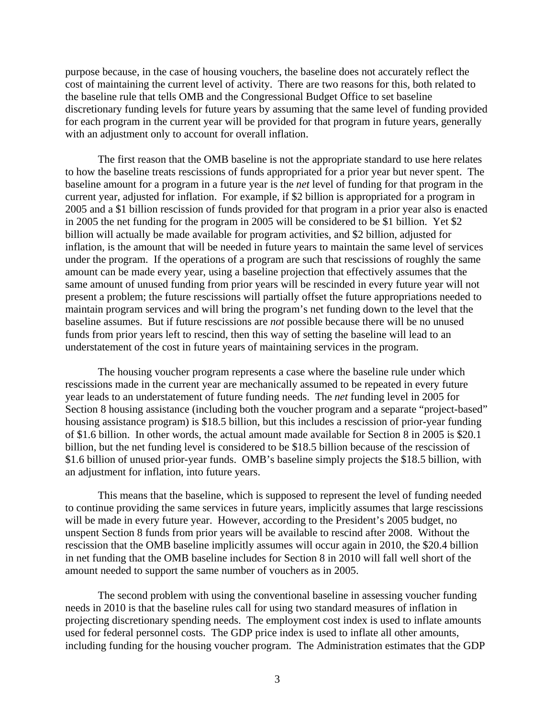purpose because, in the case of housing vouchers, the baseline does not accurately reflect the cost of maintaining the current level of activity. There are two reasons for this, both related to the baseline rule that tells OMB and the Congressional Budget Office to set baseline discretionary funding levels for future years by assuming that the same level of funding provided for each program in the current year will be provided for that program in future years, generally with an adjustment only to account for overall inflation.

The first reason that the OMB baseline is not the appropriate standard to use here relates to how the baseline treats rescissions of funds appropriated for a prior year but never spent. The baseline amount for a program in a future year is the *net* level of funding for that program in the current year, adjusted for inflation. For example, if \$2 billion is appropriated for a program in 2005 and a \$1 billion rescission of funds provided for that program in a prior year also is enacted in 2005 the net funding for the program in 2005 will be considered to be \$1 billion. Yet \$2 billion will actually be made available for program activities, and \$2 billion, adjusted for inflation, is the amount that will be needed in future years to maintain the same level of services under the program. If the operations of a program are such that rescissions of roughly the same amount can be made every year, using a baseline projection that effectively assumes that the same amount of unused funding from prior years will be rescinded in every future year will not present a problem; the future rescissions will partially offset the future appropriations needed to maintain program services and will bring the program's net funding down to the level that the baseline assumes. But if future rescissions are *not* possible because there will be no unused funds from prior years left to rescind, then this way of setting the baseline will lead to an understatement of the cost in future years of maintaining services in the program.

The housing voucher program represents a case where the baseline rule under which rescissions made in the current year are mechanically assumed to be repeated in every future year leads to an understatement of future funding needs. The *net* funding level in 2005 for Section 8 housing assistance (including both the voucher program and a separate "project-based" housing assistance program) is \$18.5 billion, but this includes a rescission of prior-year funding of \$1.6 billion. In other words, the actual amount made available for Section 8 in 2005 is \$20.1 billion, but the net funding level is considered to be \$18.5 billion because of the rescission of \$1.6 billion of unused prior-year funds. OMB's baseline simply projects the \$18.5 billion, with an adjustment for inflation, into future years.

This means that the baseline, which is supposed to represent the level of funding needed to continue providing the same services in future years, implicitly assumes that large rescissions will be made in every future year. However, according to the President's 2005 budget, no unspent Section 8 funds from prior years will be available to rescind after 2008. Without the rescission that the OMB baseline implicitly assumes will occur again in 2010, the \$20.4 billion in net funding that the OMB baseline includes for Section 8 in 2010 will fall well short of the amount needed to support the same number of vouchers as in 2005.

The second problem with using the conventional baseline in assessing voucher funding needs in 2010 is that the baseline rules call for using two standard measures of inflation in projecting discretionary spending needs. The employment cost index is used to inflate amounts used for federal personnel costs. The GDP price index is used to inflate all other amounts, including funding for the housing voucher program. The Administration estimates that the GDP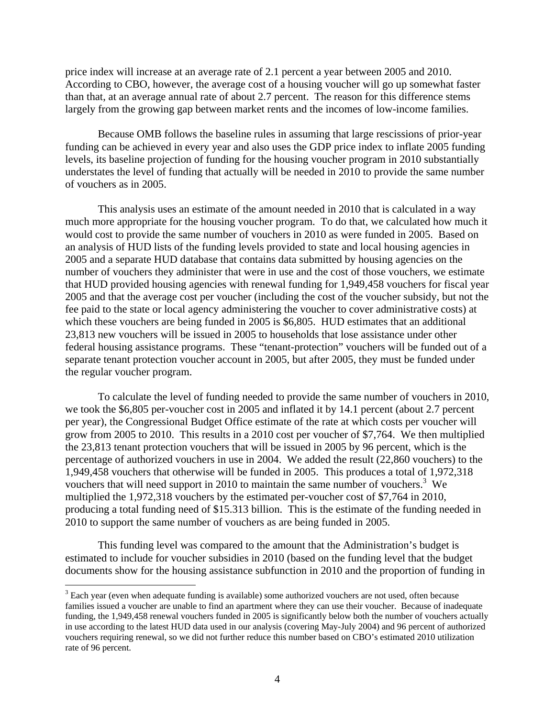price index will increase at an average rate of 2.1 percent a year between 2005 and 2010. According to CBO, however, the average cost of a housing voucher will go up somewhat faster than that, at an average annual rate of about 2.7 percent. The reason for this difference stems largely from the growing gap between market rents and the incomes of low-income families.

Because OMB follows the baseline rules in assuming that large rescissions of prior-year funding can be achieved in every year and also uses the GDP price index to inflate 2005 funding levels, its baseline projection of funding for the housing voucher program in 2010 substantially understates the level of funding that actually will be needed in 2010 to provide the same number of vouchers as in 2005.

This analysis uses an estimate of the amount needed in 2010 that is calculated in a way much more appropriate for the housing voucher program. To do that, we calculated how much it would cost to provide the same number of vouchers in 2010 as were funded in 2005. Based on an analysis of HUD lists of the funding levels provided to state and local housing agencies in 2005 and a separate HUD database that contains data submitted by housing agencies on the number of vouchers they administer that were in use and the cost of those vouchers, we estimate that HUD provided housing agencies with renewal funding for 1,949,458 vouchers for fiscal year 2005 and that the average cost per voucher (including the cost of the voucher subsidy, but not the fee paid to the state or local agency administering the voucher to cover administrative costs) at which these vouchers are being funded in 2005 is \$6,805. HUD estimates that an additional 23,813 new vouchers will be issued in 2005 to households that lose assistance under other federal housing assistance programs. These "tenant-protection" vouchers will be funded out of a separate tenant protection voucher account in 2005, but after 2005, they must be funded under the regular voucher program.

To calculate the level of funding needed to provide the same number of vouchers in 2010, we took the \$6,805 per-voucher cost in 2005 and inflated it by 14.1 percent (about 2.7 percent per year), the Congressional Budget Office estimate of the rate at which costs per voucher will grow from 2005 to 2010. This results in a 2010 cost per voucher of \$7,764. We then multiplied the 23,813 tenant protection vouchers that will be issued in 2005 by 96 percent, which is the percentage of authorized vouchers in use in 2004. We added the result (22,860 vouchers) to the 1,949,458 vouchers that otherwise will be funded in 2005. This produces a total of 1,972,318 vouchers that will need support in 2010 to maintain the same number of vouchers.<sup>3</sup> We multiplied the 1,972,318 vouchers by the estimated per-voucher cost of \$7,764 in 2010, producing a total funding need of \$15.313 billion. This is the estimate of the funding needed in 2010 to support the same number of vouchers as are being funded in 2005.

This funding level was compared to the amount that the Administration's budget is estimated to include for voucher subsidies in 2010 (based on the funding level that the budget documents show for the housing assistance subfunction in 2010 and the proportion of funding in

 $\overline{a}$ 

 $3$  Each year (even when adequate funding is available) some authorized vouchers are not used, often because families issued a voucher are unable to find an apartment where they can use their voucher. Because of inadequate funding, the 1,949,458 renewal vouchers funded in 2005 is significantly below both the number of vouchers actually in use according to the latest HUD data used in our analysis (covering May-July 2004) and 96 percent of authorized vouchers requiring renewal, so we did not further reduce this number based on CBO's estimated 2010 utilization rate of 96 percent.